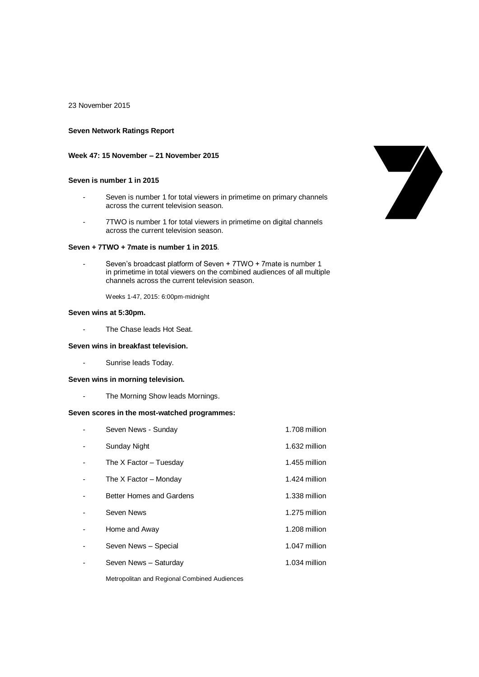23 November 2015

### **Seven Network Ratings Report**

## **Week 47: 15 November – 21 November 2015**

## **Seven is number 1 in 2015**

- Seven is number 1 for total viewers in primetime on primary channels across the current television season.
- 7TWO is number 1 for total viewers in primetime on digital channels across the current television season.

#### **Seven + 7TWO + 7mate is number 1 in 2015**.

Seven's broadcast platform of Seven + 7TWO + 7mate is number 1 in primetime in total viewers on the combined audiences of all multiple channels across the current television season.

Weeks 1-47, 2015: 6:00pm-midnight

## **Seven wins at 5:30pm.**

- The Chase leads Hot Seat.

#### **Seven wins in breakfast television.**

- Sunrise leads Today.

#### **Seven wins in morning television.**

- The Morning Show leads Mornings.

## **Seven scores in the most-watched programmes:**

| Seven News - Sunday      | 1.708 million |
|--------------------------|---------------|
| <b>Sunday Night</b>      | 1.632 million |
| The $X$ Factor – Tuesday | 1.455 million |
| The X Factor – Monday    | 1.424 million |
| Better Homes and Gardens | 1.338 million |
| Seven News               | 1.275 million |
| Home and Away            | 1.208 million |
| Seven News - Special     | 1.047 million |
| Seven News - Saturday    | 1.034 million |

Metropolitan and Regional Combined Audiences

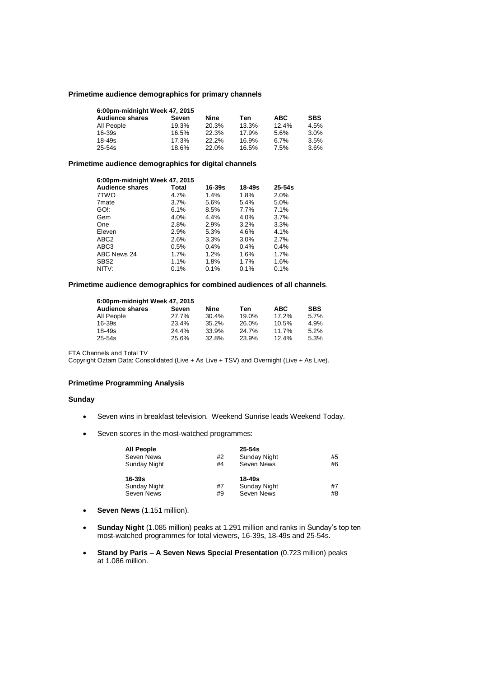#### **Primetime audience demographics for primary channels**

| 6:00pm-midnight Week 47, 2015 |       |       |       |            |            |  |  |
|-------------------------------|-------|-------|-------|------------|------------|--|--|
| <b>Audience shares</b>        | Seven | Nine  | Ten   | <b>ABC</b> | <b>SBS</b> |  |  |
| All People                    | 19.3% | 20.3% | 13.3% | 12.4%      | 4.5%       |  |  |
| $16 - 39s$                    | 16.5% | 22.3% | 17.9% | 5.6%       | 3.0%       |  |  |
| $18 - 49s$                    | 17.3% | 22.2% | 16.9% | 6.7%       | 3.5%       |  |  |
| $25 - 54s$                    | 18.6% | 22.0% | 16.5% | 7.5%       | $3.6\%$    |  |  |

## **Primetime audience demographics for digital channels**

| 6:00pm-midnight Week 47, 2015 |       |        |        |            |  |  |
|-------------------------------|-------|--------|--------|------------|--|--|
| <b>Audience shares</b>        | Total | 16-39s | 18-49s | $25 - 54s$ |  |  |
| 7TWO                          | 4.7%  | 1.4%   | 1.8%   | 2.0%       |  |  |
| 7 <sub>mate</sub>             | 3.7%  | 5.6%   | 5.4%   | 5.0%       |  |  |
| GO!:                          | 6.1%  | 8.5%   | 7.7%   | 7.1%       |  |  |
| Gem                           | 4.0%  | 4.4%   | 4.0%   | 3.7%       |  |  |
| One                           | 2.8%  | 2.9%   | 3.2%   | 3.3%       |  |  |
| Eleven                        | 2.9%  | 5.3%   | 4.6%   | 4.1%       |  |  |
| ABC <sub>2</sub>              | 2.6%  | 3.3%   | 3.0%   | 2.7%       |  |  |
| ABC <sub>3</sub>              | 0.5%  | 0.4%   | 0.4%   | 0.4%       |  |  |
| ABC News 24                   | 1.7%  | 1.2%   | 1.6%   | 1.7%       |  |  |
| SBS <sub>2</sub>              | 1.1%  | 1.8%   | 1.7%   | 1.6%       |  |  |
| NITV:                         | 0.1%  | 0.1%   | 0.1%   | 0.1%       |  |  |

## **Primetime audience demographics for combined audiences of all channels**.

| 6:00pm-midnight Week 47, 2015 |       |       |       |            |            |  |  |
|-------------------------------|-------|-------|-------|------------|------------|--|--|
| <b>Audience shares</b>        | Seven | Nine  | Ten   | <b>ABC</b> | <b>SBS</b> |  |  |
| All People                    | 27.7% | 30.4% | 19.0% | 17.2%      | 5.7%       |  |  |
| $16 - 39s$                    | 23.4% | 35.2% | 26.0% | 10.5%      | 4.9%       |  |  |
| 18-49s                        | 24.4% | 33.9% | 24.7% | 11.7%      | 5.2%       |  |  |
| 25-54s                        | 25.6% | 32.8% | 23.9% | 12.4%      | 5.3%       |  |  |

FTA Channels and Total TV

Copyright Oztam Data: Consolidated (Live + As Live + TSV) and Overnight (Live + As Live).

## **Primetime Programming Analysis**

#### **Sunday**

- Seven wins in breakfast television. Weekend Sunrise leads Weekend Today.
- Seven scores in the most-watched programmes:

| <b>All People</b>   |    | $25 - 54s$   |    |
|---------------------|----|--------------|----|
| Seven News          | #2 | Sunday Night | #5 |
| <b>Sunday Night</b> | #4 | Seven News   | #6 |
|                     |    |              |    |
| $16-39s$            |    | 18-49s       |    |
| <b>Sunday Night</b> | #7 | Sunday Night | #7 |

- **Seven News** (1.151 million).
- **Sunday Night** (1.085 million) peaks at 1.291 million and ranks in Sunday's top ten most-watched programmes for total viewers, 16-39s, 18-49s and 25-54s.
- **Stand by Paris – A Seven News Special Presentation** (0.723 million) peaks at 1.086 million.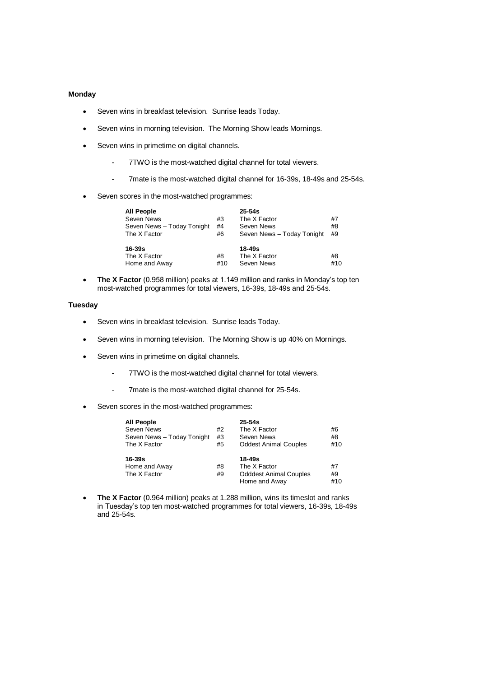#### **Monday**

- Seven wins in breakfast television. Sunrise leads Today.
- Seven wins in morning television. The Morning Show leads Mornings.
- Seven wins in primetime on digital channels.
	- 7TWO is the most-watched digital channel for total viewers.
	- 7mate is the most-watched digital channel for 16-39s, 18-49s and 25-54s.
- Seven scores in the most-watched programmes:

| All People                 |     | $25 - 54s$                 |     |
|----------------------------|-----|----------------------------|-----|
| Seven News                 | #3  | The X Factor               | #7  |
| Seven News - Today Tonight | #4  | Seven News                 | #8  |
| The X Factor               | #6  | Seven News - Today Tonight | #9  |
| 16-39s                     |     | 18-49s                     |     |
| The X Factor               | #8  | The X Factor               | #8  |
| Home and Away              | #10 | Seven News                 | #10 |

 **The X Factor** (0.958 million) peaks at 1.149 million and ranks in Monday's top ten most-watched programmes for total viewers, 16-39s, 18-49s and 25-54s.

#### **Tuesday**

- Seven wins in breakfast television. Sunrise leads Today.
- Seven wins in morning television. The Morning Show is up 40% on Mornings.
- Seven wins in primetime on digital channels.
	- 7TWO is the most-watched digital channel for total viewers.
	- 7mate is the most-watched digital channel for 25-54s.
- Seven scores in the most-watched programmes:

| All People                 |    | $25 - 54s$                    |     |
|----------------------------|----|-------------------------------|-----|
| Seven News                 | #2 | The X Factor                  | #6  |
| Seven News - Today Tonight | #3 | Seven News                    | #8  |
| The X Factor               | #5 | <b>Oddest Animal Couples</b>  | #10 |
| $16 - 39s$                 |    | $18 - 49s$                    |     |
| Home and Away              | #8 | The X Factor                  | #7  |
| The X Factor               | #9 | <b>Odddest Animal Couples</b> | #9  |
|                            |    | Home and Awav                 | #10 |

 **The X Factor** (0.964 million) peaks at 1.288 million, wins its timeslot and ranks in Tuesday's top ten most-watched programmes for total viewers, 16-39s, 18-49s and 25-54s.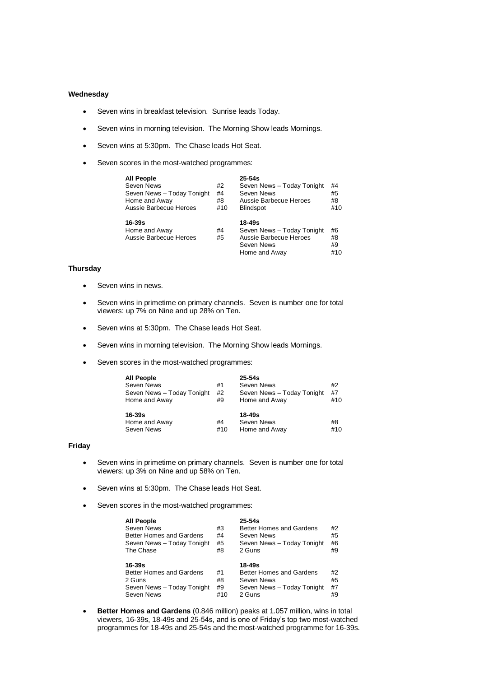#### **Wednesday**

- Seven wins in breakfast television. Sunrise leads Today.
- Seven wins in morning television. The Morning Show leads Mornings.
- Seven wins at 5:30pm. The Chase leads Hot Seat.
- Seven scores in the most-watched programmes:

| <b>All People</b><br>Seven News<br>Seven News - Today Tonight<br>Home and Away<br>Aussie Barbecue Heroes | #2<br>#4<br>#8<br>#10 | $25 - 54s$<br>Seven News - Today Tonight<br>Seven News<br>Aussie Barbecue Heroes<br><b>Blindspot</b> | #4<br>#5<br>#8<br>#10 |
|----------------------------------------------------------------------------------------------------------|-----------------------|------------------------------------------------------------------------------------------------------|-----------------------|
| 16-39s<br>Home and Away<br>Aussie Barbecue Heroes                                                        | #4<br>#5              | 18-49s<br>Seven News - Today Tonight<br>Aussie Barbecue Heroes<br>Seven News<br>Home and Awav        | #6<br>#8<br>#9<br>#10 |

## **Thursday**

- Seven wins in news.
- Seven wins in primetime on primary channels. Seven is number one for total viewers: up 7% on Nine and up 28% on Ten.
- Seven wins at 5:30pm. The Chase leads Hot Seat.
- Seven wins in morning television. The Morning Show leads Mornings.
- Seven scores in the most-watched programmes:

| <b>All People</b>          |     | $25 - 54s$                 |     |
|----------------------------|-----|----------------------------|-----|
| Seven News                 | #1  | Seven News                 | #2  |
| Seven News - Today Tonight | #2  | Seven News - Today Tonight | #7  |
| Home and Away              | #9  | Home and Away              | #10 |
| $16 - 39s$                 |     | 18-49s                     |     |
| Home and Away              | #4  | Seven News                 | #8  |
| Seven News                 | #10 | Home and Away              | #10 |

## **Friday**

- Seven wins in primetime on primary channels. Seven is number one for total viewers: up 3% on Nine and up 58% on Ten.
- Seven wins at 5:30pm. The Chase leads Hot Seat.
- Seven scores in the most-watched programmes:

| <b>All People</b>               |    | $25 - 54s$                 |    |
|---------------------------------|----|----------------------------|----|
| <b>Seven News</b>               | #3 | Better Homes and Gardens   | #2 |
| Better Homes and Gardens        | #4 | Seven News                 | #5 |
| Seven News - Today Tonight      | #5 | Seven News - Today Tonight | #6 |
| The Chase                       | #8 | 2 Guns                     | #9 |
|                                 |    |                            |    |
| $16 - 39s$                      |    | 18-49s                     |    |
| <b>Better Homes and Gardens</b> | #1 | Better Homes and Gardens   | #2 |
| 2 Guns                          | #8 | Seven News                 | #5 |
|                                 |    |                            |    |
| Seven News - Today Tonight      | #9 | Seven News - Today Tonight | #7 |

 **Better Homes and Gardens** (0.846 million) peaks at 1.057 million, wins in total viewers, 16-39s, 18-49s and 25-54s, and is one of Friday's top two most-watched programmes for 18-49s and 25-54s and the most-watched programme for 16-39s.